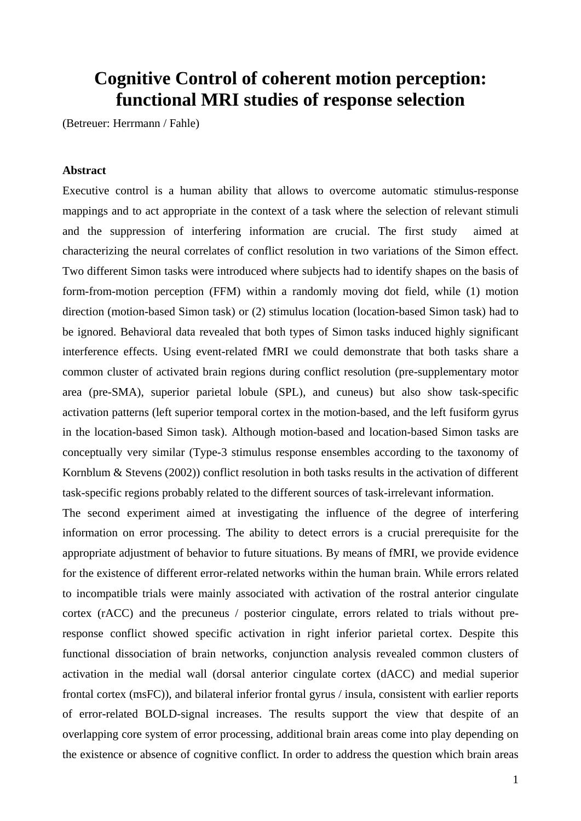## **Cognitive Control of coherent motion perception: functional MRI studies of response selection**

(Betreuer: Herrmann / Fahle)

## **Abstract**

Executive control is a human ability that allows to overcome automatic stimulus-response mappings and to act appropriate in the context of a task where the selection of relevant stimuli and the suppression of interfering information are crucial. The first study aimed at characterizing the neural correlates of conflict resolution in two variations of the Simon effect. Two different Simon tasks were introduced where subjects had to identify shapes on the basis of form-from-motion perception (FFM) within a randomly moving dot field, while (1) motion direction (motion-based Simon task) or (2) stimulus location (location-based Simon task) had to be ignored. Behavioral data revealed that both types of Simon tasks induced highly significant interference effects. Using event-related fMRI we could demonstrate that both tasks share a common cluster of activated brain regions during conflict resolution (pre-supplementary motor area (pre-SMA), superior parietal lobule (SPL), and cuneus) but also show task-specific activation patterns (left superior temporal cortex in the motion-based, and the left fusiform gyrus in the location-based Simon task). Although motion-based and location-based Simon tasks are conceptually very similar (Type-3 stimulus response ensembles according to the taxonomy of Kornblum & Stevens (2002)) conflict resolution in both tasks results in the activation of different task-specific regions probably related to the different sources of task-irrelevant information.

The second experiment aimed at investigating the influence of the degree of interfering information on error processing. The ability to detect errors is a crucial prerequisite for the appropriate adjustment of behavior to future situations. By means of fMRI, we provide evidence for the existence of different error-related networks within the human brain. While errors related to incompatible trials were mainly associated with activation of the rostral anterior cingulate cortex (rACC) and the precuneus / posterior cingulate, errors related to trials without preresponse conflict showed specific activation in right inferior parietal cortex. Despite this functional dissociation of brain networks, conjunction analysis revealed common clusters of activation in the medial wall (dorsal anterior cingulate cortex (dACC) and medial superior frontal cortex (msFC)), and bilateral inferior frontal gyrus / insula, consistent with earlier reports of error-related BOLD-signal increases. The results support the view that despite of an overlapping core system of error processing, additional brain areas come into play depending on the existence or absence of cognitive conflict. In order to address the question which brain areas